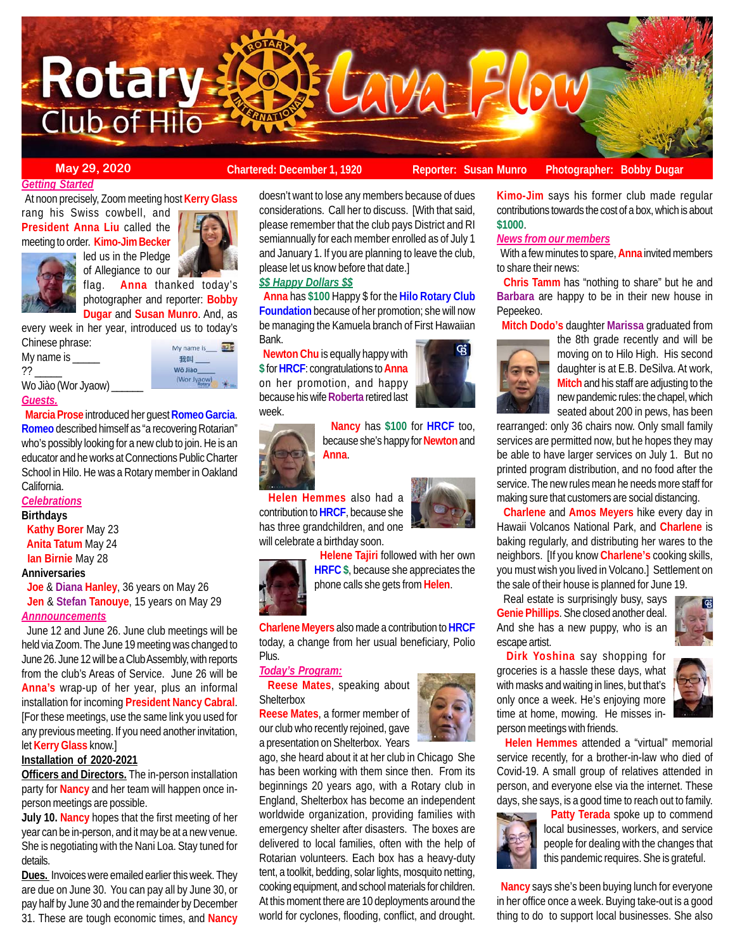

#### **May 29, 2020 Chartered: December 1, 1920** Reporter: Susan Munro Photographer: Bobby Dugar **Reporter: Susan Munro**

#### *Getting Started*

 At noon precisely, Zoom meeting host **Kerry Glass** rang his Swiss cowbell, and **President Anna Liu** called the meeting to order. **Kimo-Jim Becker**



led us in the Pledge of Allegiance to our flag. **Anna** thanked today's

photographer and reporter: **Bobby Dugar** and **Susan Munro**. And, as

every week in her year, introduced us to today's Chinese phrase:

My name is \_ ?? \_\_\_\_\_

Wo Jiào (Wor Jyaow) \_\_\_\_\_\_

My name is\_ 我叫 Wǒ Jiào (Wor Jyaow)

#### *Guests.*

 **Marcia Prose** introduced her guest **Romeo Garcia**. **Romeo** described himself as "a recovering Rotarian" who's possibly looking for a new club to join. He is an educator and he works at Connections Public Charter School in Hilo. He was a Rotary member in Oakland California.

## *Celebrations*

**Birthdays**

 **Kathy Borer** May 23 **Anita Tatum** May 24 **Ian Birnie** May 28

#### **Anniversaries**

 **Joe** & **Diana Hanley**, 36 years on May 26 **Jen** & **Stefan Tanouye**, 15 years on May 29 *Annnouncements*

 June 12 and June 26. June club meetings will be held via Zoom. The June 19 meeting was changed to June 26. June 12 will be a Club Assembly, with reports from the club's Areas of Service. June 26 will be **Anna's** wrap-up of her year, plus an informal installation for incoming **President Nancy Cabral**. [For these meetings, use the same link you used for any previous meeting. If you need another invitation, let **Kerry Glass** know.]

#### **Installation of 2020-2021**

**Officers and Directors.** The in-person installation party for **Nancy** and her team will happen once inperson meetings are possible.

**July 10. Nancy** hopes that the first meeting of her year can be in-person, and it may be at a new venue. She is negotiating with the Nani Loa. Stay tuned for details.

**Dues.** Invoices were emailed earlier this week. They are due on June 30. You can pay all by June 30, or pay half by June 30 and the remainder by December 31. These are tough economic times, and **Nancy**

# doesn't want to lose any members because of dues considerations. Call her to discuss. [With that said, please remember that the club pays District and RI semiannually for each member enrolled as of July 1

please let us know before that date.] *\$\$ Happy Dollars \$\$*

 **Anna** has **\$100** Happy \$ for the **Hilo Rotary Club Foundation** because of her promotion; she will now be managing the Kamuela branch of First Hawaiian Bank.

and January 1. If you are planning to leave the club,

 **Newton Chu** is equally happy with **\$** for **HRCF**: congratulations to **Anna** on her promotion, and happy because his wife **Roberta** retired last week.





 **Nancy** has **\$100** for **HRCF** too, because she's happy for **Newton** and **Anna**.

 **Helen Hemmes** also had a contribution to **HRCF**, because she has three grandchildren, and one will celebrate a birthday soon.



 **Helene Tajiri** followed with her own **HRFC \$**, because she appreciates the phone calls she gets from **Helen**.

**Charlene Meyers** also made a contribution to **HRCF** today, a change from her usual beneficiary, Polio Plus.

#### *Today's Program:*

 **Reese Mates**, speaking about **Shelterbox** 

**Reese Mates**, a former member of our club who recently rejoined, gave a presentation on Shelterbox. Years

ago, she heard about it at her club in Chicago She has been working with them since then. From its beginnings 20 years ago, with a Rotary club in England, Shelterbox has become an independent worldwide organization, providing families with emergency shelter after disasters. The boxes are delivered to local families, often with the help of Rotarian volunteers. Each box has a heavy-duty tent, a toolkit, bedding, solar lights, mosquito netting, cooking equipment, and school materials for children. At this moment there are 10 deployments around the world for cyclones, flooding, conflict, and drought.



**Kimo-Jim** says his former club made regular contributions towards the cost of a box, which is about **\$1000**.

## *News from our members*

 With a few minutes to spare, **Anna** invited members to share their news:

 **Chris Tamm** has "nothing to share" but he and **Barbara** are happy to be in their new house in Pepeekeo.

**Mitch Dodo's** daughter **Marissa** graduated from



the 8th grade recently and will be moving on to Hilo High. His second daughter is at E.B. DeSilva. At work, **Mitch** and his staff are adjusting to the new pandemic rules: the chapel, which seated about 200 in pews, has been

rearranged: only 36 chairs now. Only small family services are permitted now, but he hopes they may be able to have larger services on July 1. But no printed program distribution, and no food after the service. The new rules mean he needs more staff for making sure that customers are social distancing.

 **Charlene** and **Amos Meyers** hike every day in Hawaii Volcanos National Park, and **Charlene** is baking regularly, and distributing her wares to the neighbors. [If you know **Charlene's** cooking skills, you must wish you lived in Volcano.] Settlement on the sale of their house is planned for June 19.

 Real estate is surprisingly busy, says **Genie Phillips**. She closed another deal. And she has a new puppy, who is an escape artist.



 **Dirk Yoshina** say shopping for groceries is a hassle these days, what with masks and waiting in lines, but that's only once a week. He's enjoying more time at home, mowing. He misses inperson meetings with friends.

 **Helen Hemmes** attended a "virtual" memorial service recently, for a brother-in-law who died of Covid-19. A small group of relatives attended in person, and everyone else via the internet. These days, she says, is a good time to reach out to family.



 **Patty Terada** spoke up to commend local businesses, workers, and service people for dealing with the changes that this pandemic requires. She is grateful.

 **Nancy** says she's been buying lunch for everyone in her office once a week. Buying take-out is a good thing to do to support local businesses. She also